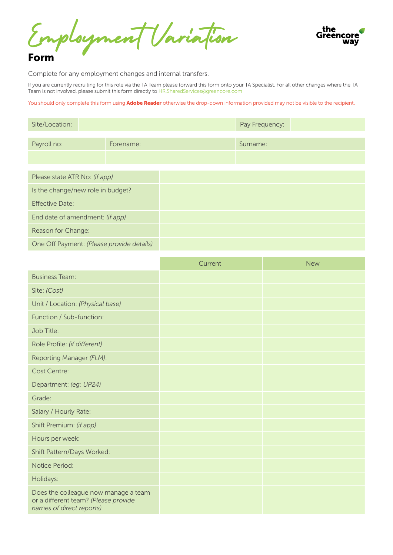Employment Variation



#### Form

Complete for any employment changes and internal transfers.

If you are currently recruiting for this role via the TA Team please forward this form onto your TA Specialist. For all other changes where the TA Team is not involved, please submit this form directly to<HR.SharedServices@greencore.com>

You should only complete this form using Adobe Reader otherwise the drop-down information provided may not be visible to the recipient.

| Site/Location:                            |           | Pay Frequency: |  |
|-------------------------------------------|-----------|----------------|--|
|                                           |           |                |  |
| Payroll no:                               | Forename: | Surname:       |  |
|                                           |           |                |  |
|                                           |           |                |  |
|                                           |           |                |  |
| Please state ATR No: (if app)             |           |                |  |
| Is the change/new role in budget?         |           |                |  |
| <b>Effective Date:</b>                    |           |                |  |
| End date of amendment: (if app)           |           |                |  |
| Reason for Change:                        |           |                |  |
| One Off Payment: (Please provide details) |           |                |  |

|                                                                                                          | Current | <b>New</b> |
|----------------------------------------------------------------------------------------------------------|---------|------------|
| <b>Business Team:</b>                                                                                    |         |            |
| Site: (Cost)                                                                                             |         |            |
| Unit / Location: (Physical base)                                                                         |         |            |
| Function / Sub-function:                                                                                 |         |            |
| Job Title:                                                                                               |         |            |
| Role Profile: (if different)                                                                             |         |            |
| Reporting Manager (FLM):                                                                                 |         |            |
| <b>Cost Centre:</b>                                                                                      |         |            |
| Department: (eg: UP24)                                                                                   |         |            |
| Grade:                                                                                                   |         |            |
| Salary / Hourly Rate:                                                                                    |         |            |
| Shift Premium: (if app)                                                                                  |         |            |
| Hours per week:                                                                                          |         |            |
| Shift Pattern/Days Worked:                                                                               |         |            |
| Notice Period:                                                                                           |         |            |
| Holidays:                                                                                                |         |            |
| Does the colleague now manage a team<br>or a different team? (Please provide<br>names of direct reports) |         |            |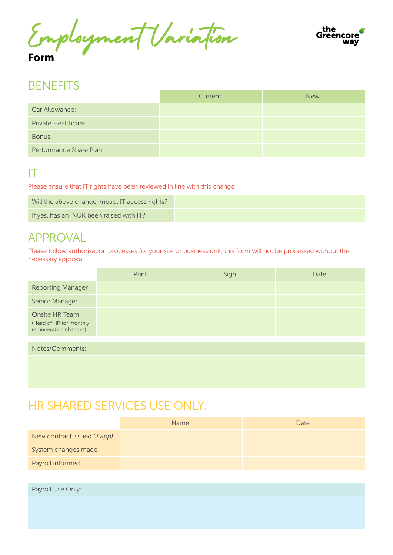Employment Variation Form



### **BENFFITS**

|                            | Current | <b>New</b> |
|----------------------------|---------|------------|
| Car Allowance:             |         |            |
| <b>Private Healthcare:</b> |         |            |
| Bonus:                     |         |            |
| Performance Share Plan:    |         |            |

#### IT

Please ensure that IT rights have been reviewed in line with this change

| Will the above change impact IT access rights? |  |
|------------------------------------------------|--|
| If yes, has an INUR been raised with IT?       |  |

### APPROVAL

Please follow authorisation processes for your site or business unit, this form will not be processed without the necessary approval

|                                                                    | Print | Sign | Date |
|--------------------------------------------------------------------|-------|------|------|
| <b>Reporting Manager</b>                                           |       |      |      |
| Senior Manager                                                     |       |      |      |
| Onsite HR Team<br>(Head of HR for monthly<br>remuneration changes) |       |      |      |

Notes/Comments:

## HR SHARED SERVICES USE ONLY:

|                              | <b>Name</b> | Date |
|------------------------------|-------------|------|
| New contract issued (if app) |             |      |
| System changes made          |             |      |
| Payroll informed             |             |      |

Payroll Use Only: